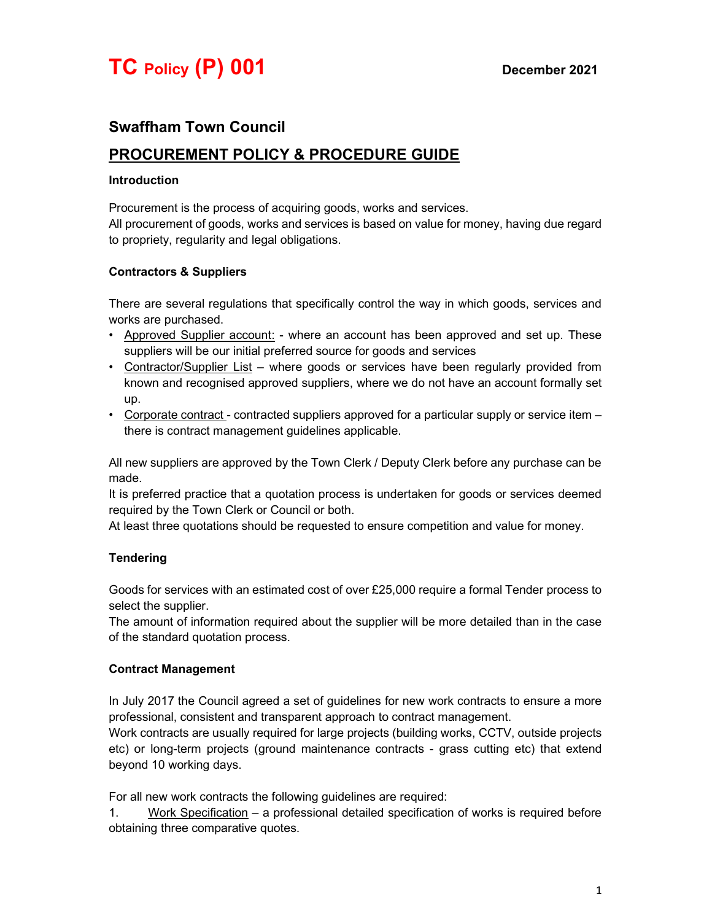# Swaffham Town Council

# PROCUREMENT POLICY & PROCEDURE GUIDE

#### Introduction

Procurement is the process of acquiring goods, works and services.

All procurement of goods, works and services is based on value for money, having due regard to propriety, regularity and legal obligations.

#### Contractors & Suppliers

There are several regulations that specifically control the way in which goods, services and works are purchased.

- Approved Supplier account: where an account has been approved and set up. These suppliers will be our initial preferred source for goods and services
- Contractor/Supplier List where goods or services have been regularly provided from known and recognised approved suppliers, where we do not have an account formally set up.
- Corporate contract contracted suppliers approved for a particular supply or service item there is contract management guidelines applicable.

All new suppliers are approved by the Town Clerk / Deputy Clerk before any purchase can be made.

It is preferred practice that a quotation process is undertaken for goods or services deemed required by the Town Clerk or Council or both.

At least three quotations should be requested to ensure competition and value for money.

### **Tendering**

Goods for services with an estimated cost of over £25,000 require a formal Tender process to select the supplier.

The amount of information required about the supplier will be more detailed than in the case of the standard quotation process.

### Contract Management

In July 2017 the Council agreed a set of guidelines for new work contracts to ensure a more professional, consistent and transparent approach to contract management.

Work contracts are usually required for large projects (building works, CCTV, outside projects etc) or long-term projects (ground maintenance contracts - grass cutting etc) that extend beyond 10 working days.

For all new work contracts the following guidelines are required:

1. Work Specification – a professional detailed specification of works is required before obtaining three comparative quotes.